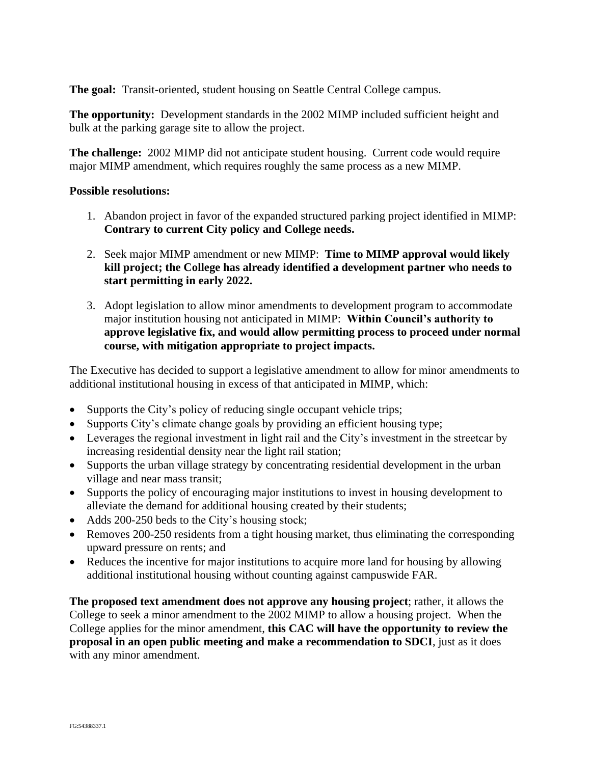**The goal:** Transit-oriented, student housing on Seattle Central College campus.

**The opportunity:** Development standards in the 2002 MIMP included sufficient height and bulk at the parking garage site to allow the project.

**The challenge:** 2002 MIMP did not anticipate student housing. Current code would require major MIMP amendment, which requires roughly the same process as a new MIMP.

## **Possible resolutions:**

- 1. Abandon project in favor of the expanded structured parking project identified in MIMP: **Contrary to current City policy and College needs.**
- 2. Seek major MIMP amendment or new MIMP: **Time to MIMP approval would likely kill project; the College has already identified a development partner who needs to start permitting in early 2022.**
- 3. Adopt legislation to allow minor amendments to development program to accommodate major institution housing not anticipated in MIMP: **Within Council's authority to approve legislative fix, and would allow permitting process to proceed under normal course, with mitigation appropriate to project impacts.**

The Executive has decided to support a legislative amendment to allow for minor amendments to additional institutional housing in excess of that anticipated in MIMP, which:

- Supports the City's policy of reducing single occupant vehicle trips;
- Supports City's climate change goals by providing an efficient housing type;
- Leverages the regional investment in light rail and the City's investment in the streetcar by increasing residential density near the light rail station;
- Supports the urban village strategy by concentrating residential development in the urban village and near mass transit;
- Supports the policy of encouraging major institutions to invest in housing development to alleviate the demand for additional housing created by their students;
- Adds 200-250 beds to the City's housing stock;
- Removes 200-250 residents from a tight housing market, thus eliminating the corresponding upward pressure on rents; and
- Reduces the incentive for major institutions to acquire more land for housing by allowing additional institutional housing without counting against campuswide FAR.

**The proposed text amendment does not approve any housing project**; rather, it allows the College to seek a minor amendment to the 2002 MIMP to allow a housing project.When the College applies for the minor amendment, **this CAC will have the opportunity to review the proposal in an open public meeting and make a recommendation to SDCI**, just as it does with any minor amendment.